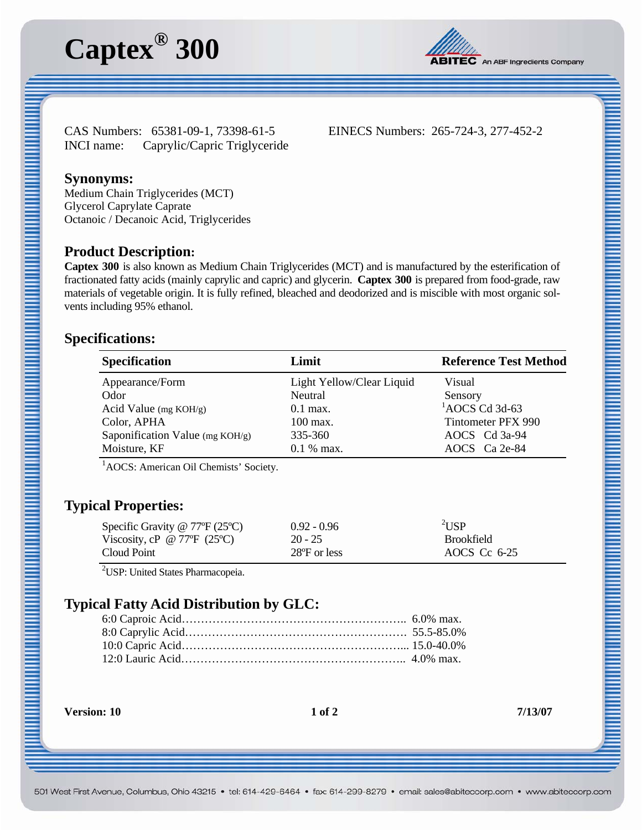# **Captex® 300**



CAS Numbers: 65381-09-1, 73398-61-5 EINECS Numbers: 265-724-3, 277-452-2 INCI name: Caprylic/Capric Triglyceride

### **Synonyms:**

Medium Chain Triglycerides (MCT) Glycerol Caprylate Caprate Octanoic / Decanoic Acid, Triglycerides

#### **Product Description:**

**Captex 300** is also known as Medium Chain Triglycerides (MCT) and is manufactured by the esterification of fractionated fatty acids (mainly caprylic and capric) and glycerin. **Captex 300** is prepared from food-grade, raw materials of vegetable origin. It is fully refined, bleached and deodorized and is miscible with most organic solvents including 95% ethanol.

#### **Specifications:**

| <b>Specification</b>            | Limit                     | <b>Reference Test Method</b> |
|---------------------------------|---------------------------|------------------------------|
| Appearance/Form                 | Light Yellow/Clear Liquid | Visual                       |
| Odor                            | Neutral                   | Sensory                      |
| Acid Value ( $mg KOH/g$ )       | $0.1$ max.                | $^{1}$ AOCS Cd 3d-63         |
| Color, APHA                     | $100 \,\mathrm{max}$ .    | Tintometer PFX 990           |
| Saponification Value (mg KOH/g) | 335-360                   | AOCS Cd 3a-94                |
| Moisture, KF                    | $0.1\%$ max.              | $AOCS$ $Ca$ $2e-84$          |

<sup>1</sup>AOCS: American Oil Chemists' Society.

# **Typical Properties:**

| Specific Gravity @ $77^{\circ}F(25^{\circ}C)$      | $0.92 - 0.96$ | $\sqrt[2]{\text{USP}}$ |
|----------------------------------------------------|---------------|------------------------|
| Viscosity, cP @ 77 $\mathrm{F}$ (25 $\mathrm{C}$ ) | $20 - 25$     | <b>Brookfield</b>      |
| Cloud Point                                        | 28°F or less  | AOCS Cc $6-25$         |

<sup>2</sup>USP: United States Pharmacopeia.

# **Typical Fatty Acid Distribution by GLC:**

**Version: 10** 1 of 2 7/13/07